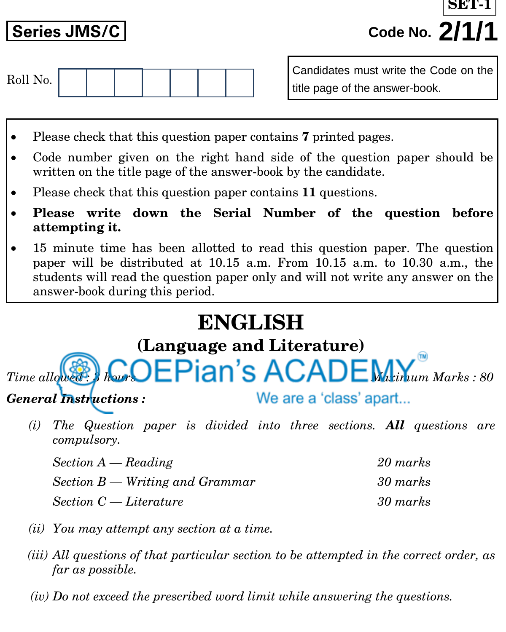**Series JMS/C Code No. 2/1/1 SET-1**



Candidates must write the Code on the title page of the answer-book.

- Please check that this question paper contains **7** printed pages.
- Code number given on the right hand side of the question paper should be written on the title page of the answer-book by the candidate.
- Please check that this question paper contains **11** questions.
- **Please write down the Serial Number of the question before attempting it.**
- 15 minute time has been allotted to read this question paper. The question paper will be distributed at 10.15 a.m. From 10.15 a.m. to 10.30 a.m., the students will read the question paper only and will not write any answer on the answer-book during this period.

# **ENGLISH**

# **(Language and Literature)** *Time allowed : 3 ACADEM Marks : 80*

*General Instructions :*

We are a 'class' apart...

*(i) The Question paper is divided into three sections. All questions are compulsory.*

*Section A — Reading 20 marks Section B — Writing and Grammar 30 marks Section C — Literature 30 marks* 

- *(ii) You may attempt any section at a time.*
- *(iii) All questions of that particular section to be attempted in the correct order, as far as possible.*
- *(iv) Do not exceed the prescribed word limit while answering the questions.*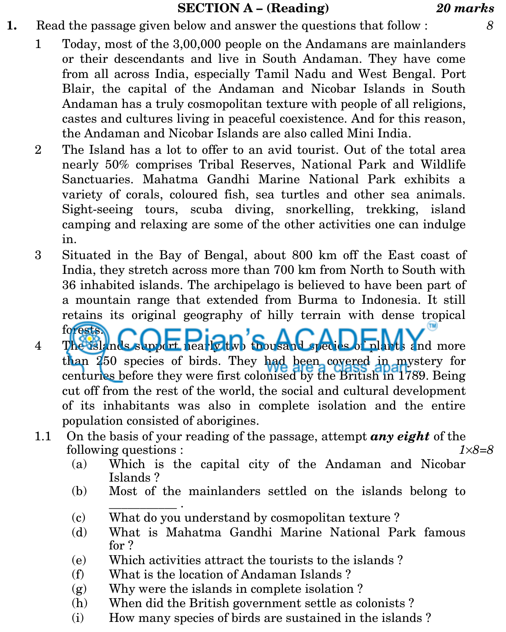# **SECTION A – (Reading)** *20 marks*

- **1.** Read the passage given below and answer the questions that follow : *8*
	- 1 Today, most of the 3,00,000 people on the Andamans are mainlanders or their descendants and live in South Andaman. They have come from all across India, especially Tamil Nadu and West Bengal. Port Blair, the capital of the Andaman and Nicobar Islands in South Andaman has a truly cosmopolitan texture with people of all religions, castes and cultures living in peaceful coexistence. And for this reason, the Andaman and Nicobar Islands are also called Mini India.
	- 2 The Island has a lot to offer to an avid tourist. Out of the total area nearly 50% comprises Tribal Reserves, National Park and Wildlife Sanctuaries. Mahatma Gandhi Marine National Park exhibits a variety of corals, coloured fish, sea turtles and other sea animals. Sight-seeing tours, scuba diving, snorkelling, trekking, island camping and relaxing are some of the other activities one can indulge in.
	- 3 Situated in the Bay of Bengal, about 800 km off the East coast of India, they stretch across more than 700 km from North to South with 36 inhabited islands. The archipelago is believed to have been part of a mountain range that extended from Burma to Indonesia. It still retains its original geography of hilly terrain with dense tropical forests. ۸n r
	- <sup>forests</sup> The uslands support nearly thousand species of plants and more than 250 species of birds. They had been covered in mystery for centuries before they were first colonised by the British in 1789. Being cut off from the rest of the world, the social and cultural development of its inhabitants was also in complete isolation and the entire population consisted of aborigines.
	- 1.1 On the basis of your reading of the passage, attempt *any eight* of the following questions : *18=8*
		- (a) Which is the capital city of the Andaman and Nicobar Islands ?
		- (b) Most of the mainlanders settled on the islands belong to \_\_\_\_\_\_\_\_\_\_\_ .
		- (c) What do you understand by cosmopolitan texture ?
		- (d) What is Mahatma Gandhi Marine National Park famous for ?
		- (e) Which activities attract the tourists to the islands ?
		- (f) What is the location of Andaman Islands ?
		- (g) Why were the islands in complete isolation ?
		- (h) When did the British government settle as colonists ?
		- (i) How many species of birds are sustained in the islands ?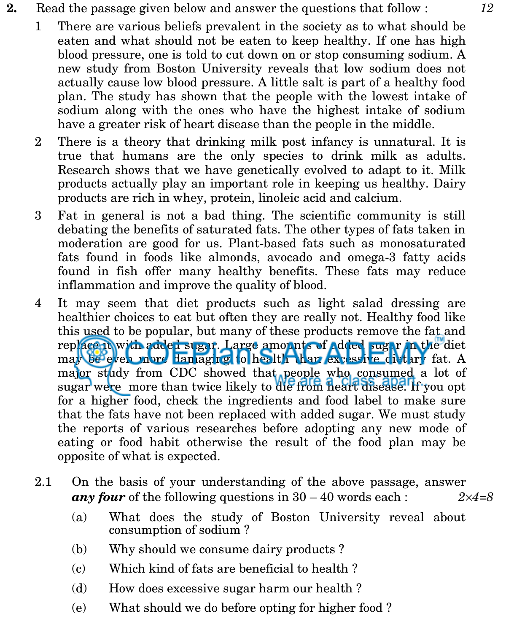- **2.** Read the passage given below and answer the questions that follow : *12*
	- 1 There are various beliefs prevalent in the society as to what should be eaten and what should not be eaten to keep healthy. If one has high blood pressure, one is told to cut down on or stop consuming sodium. A new study from Boston University reveals that low sodium does not actually cause low blood pressure. A little salt is part of a healthy food plan. The study has shown that the people with the lowest intake of sodium along with the ones who have the highest intake of sodium have a greater risk of heart disease than the people in the middle.
	- 2 There is a theory that drinking milk post infancy is unnatural. It is true that humans are the only species to drink milk as adults. Research shows that we have genetically evolved to adapt to it. Milk products actually play an important role in keeping us healthy. Dairy products are rich in whey, protein, linoleic acid and calcium.
	- 3 Fat in general is not a bad thing. The scientific community is still debating the benefits of saturated fats. The other types of fats taken in moderation are good for us. Plant-based fats such as monosaturated fats found in foods like almonds, avocado and omega-3 fatty acids found in fish offer many healthy benefits. These fats may reduce inflammation and improve the quality of blood.
	- 4 It may seem that diet products such as light salad dressing are healthier choices to eat but often they are really not. Healthy food like this used to be popular, but many of these products remove the fat and replace it with added sugar. Large amounts of added sugar in the diet may be even more damaging to health than excessive dietary fat. A major study from CDC showed that people who consumed a lot of sugar were more than twice likely to die from heart disease. If you opt for a higher food, check the ingredients and food label to make sure that the fats have not been replaced with added sugar. We must study the reports of various researches before adopting any new mode of eating or food habit otherwise the result of the food plan may be opposite of what is expected.
	- 2.1 On the basis of your understanding of the above passage, answer *any four* of the following questions in  $30 - 40$  words each :  $2 \times 4 = 8$ 
		- (a) What does the study of Boston University reveal about consumption of sodium ?
		- (b) Why should we consume dairy products ?
		- (c) Which kind of fats are beneficial to health ?
		- (d) How does excessive sugar harm our health ?
		- (e) What should we do before opting for higher food ?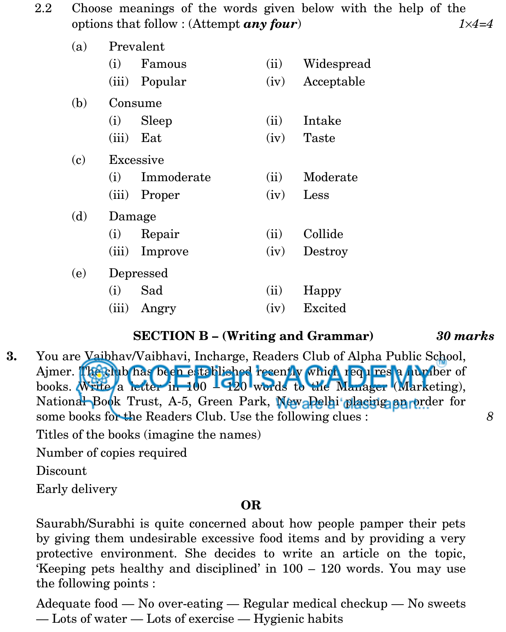2.2 Choose meanings of the words given below with the help of the options that follow : (Attempt *any four*) *14=4* 

| (a) | Prevalent |            |      |            |  |  |
|-----|-----------|------------|------|------------|--|--|
|     | (i)       | Famous     | (ii) | Widespread |  |  |
|     | (iii)     | Popular    | (iv) | Acceptable |  |  |
| (b) | Consume   |            |      |            |  |  |
|     | (i)       | Sleep      | (ii) | Intake     |  |  |
|     | (iii)     | Eat        | (iv) | Taste      |  |  |
| (c) | Excessive |            |      |            |  |  |
|     | (i)       | Immoderate | (ii) | Moderate   |  |  |
|     | (iii)     | Proper     | (iv) | Less       |  |  |
| (d) | Damage    |            |      |            |  |  |
|     | (i)       | Repair     | (ii) | Collide    |  |  |
|     | (iii)     | Improve    | (iv) | Destroy    |  |  |
| (e) | Depressed |            |      |            |  |  |
|     | (i)       | Sad        | (ii) | Happy      |  |  |
|     | (iii)     | Angry      | (iv) | Excited    |  |  |

### **SECTION B – (Writing and Grammar)** *30 marks*

**3.** You are Vaibhav/Vaibhavi, Incharge, Readers Club of Alpha Public School, Ajmer. The club has been established recently which requires a number of books. Write a letter  $\ln 100$   $\text{I}$   $\Omega$ b words to the Manager (Marketing), National Book Trust, A-5, Green Park, New Pelhi placing an order for some books for the Readers Club. Use the following clues : *8*

Titles of the books (imagine the names)

Number of copies required

Discount

Early delivery

# **OR**

Saurabh/Surabhi is quite concerned about how people pamper their pets by giving them undesirable excessive food items and by providing a very protective environment. She decides to write an article on the topic, 'Keeping pets healthy and disciplined' in 100 – 120 words. You may use the following points :

Adequate food — No over-eating — Regular medical checkup — No sweets — Lots of water — Lots of exercise — Hygienic habits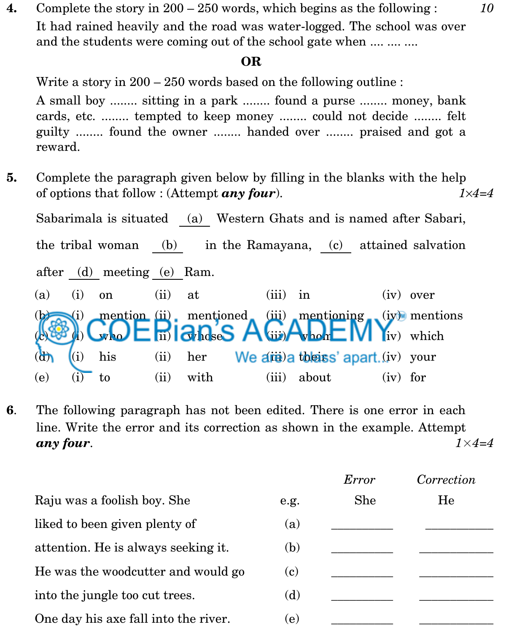**4.** Complete the story in 200 – 250 words, which begins as the following : *10* It had rained heavily and the road was water-logged. The school was over and the students were coming out of the school gate when .... .... ....

### **OR**

Write a story in  $200 - 250$  words based on the following outline :

A small boy ........ sitting in a park ........ found a purse ........ money, bank cards, etc. ........ tempted to keep money ........ could not decide ........ felt guilty ........ found the owner ........ handed over ........ praised and got a reward.

**5.** Complete the paragraph given below by filling in the blanks with the help of options that follow : (Attempt *any four*). *14=4*

Sabarimala is situated (a) Western Ghats and is named after Sabari, the tribal woman (b) in the Ramayana, (c) attained salvation after (d) meeting (e) Ram. (a) (i) on (ii) at (iii) in (iv) over (i) mention  $(ii)$  mentioned (iii) mentioning (iv) mentions  $\mathbf{c}$  who  $\mathbf{c}$  in  $\mathbf{c}$  loses  $\mathbf{c}$  (iii)  $\mathbf{c}$  whom  $\mathbf{c}$   $\mathbf{W}$  Yiv) which  $\frac{d\mathbf{r}}{d\mathbf{r}}$  (i) his (ii) her We are a theirs' apart (iv) your (e)  $(i)$  to  $(ii)$  with  $(iii)$  about  $(iv)$  for

**6**. The following paragraph has not been edited. There is one error in each line. Write the error and its correction as shown in the example. Attempt *any four*. *1*×*4=4*

|                                      |      | Error | Correction |
|--------------------------------------|------|-------|------------|
| Raju was a foolish boy. She          | e.g. | She   | He         |
| liked to been given plenty of        | (a)  |       |            |
| attention. He is always seeking it.  | (b)  |       |            |
| He was the woodcutter and would go   | (c)  |       |            |
| into the jungle too cut trees.       | (d)  |       |            |
| One day his axe fall into the river. | (e)  |       |            |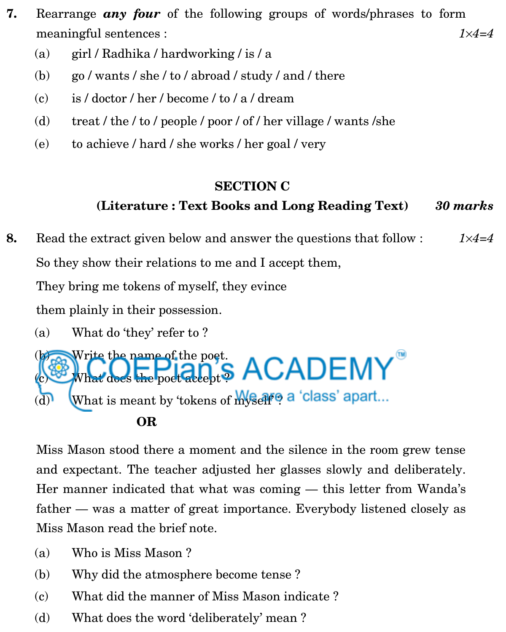- **7.** Rearrange *any four* of the following groups of words/phrases to form meaningful sentences : *14=4*
	- (a) girl / Radhika / hardworking / is / a
	- (b) go / wants / she / to / abroad / study / and / there
	- (c) is / doctor / her / become / to / a / dream
	- (d) treat / the / to / people / poor / of / her village / wants / she
	- (e) to achieve / hard / she works / her goal / very

# **SECTION C**

# **(Literature : Text Books and Long Reading Text)** *30 marks*

**8.** Read the extract given below and answer the questions that follow : *14=4* So they show their relations to me and I accept them, They bring me tokens of myself, they evince

them plainly in their possession.

(a) What do 'they' refer to ?



Miss Mason stood there a moment and the silence in the room grew tense and expectant. The teacher adjusted her glasses slowly and deliberately. Her manner indicated that what was coming — this letter from Wanda's father — was a matter of great importance. Everybody listened closely as Miss Mason read the brief note.

- (a) Who is Miss Mason ?
- (b) Why did the atmosphere become tense ?
- (c) What did the manner of Miss Mason indicate ?
- (d) What does the word 'deliberately' mean ?